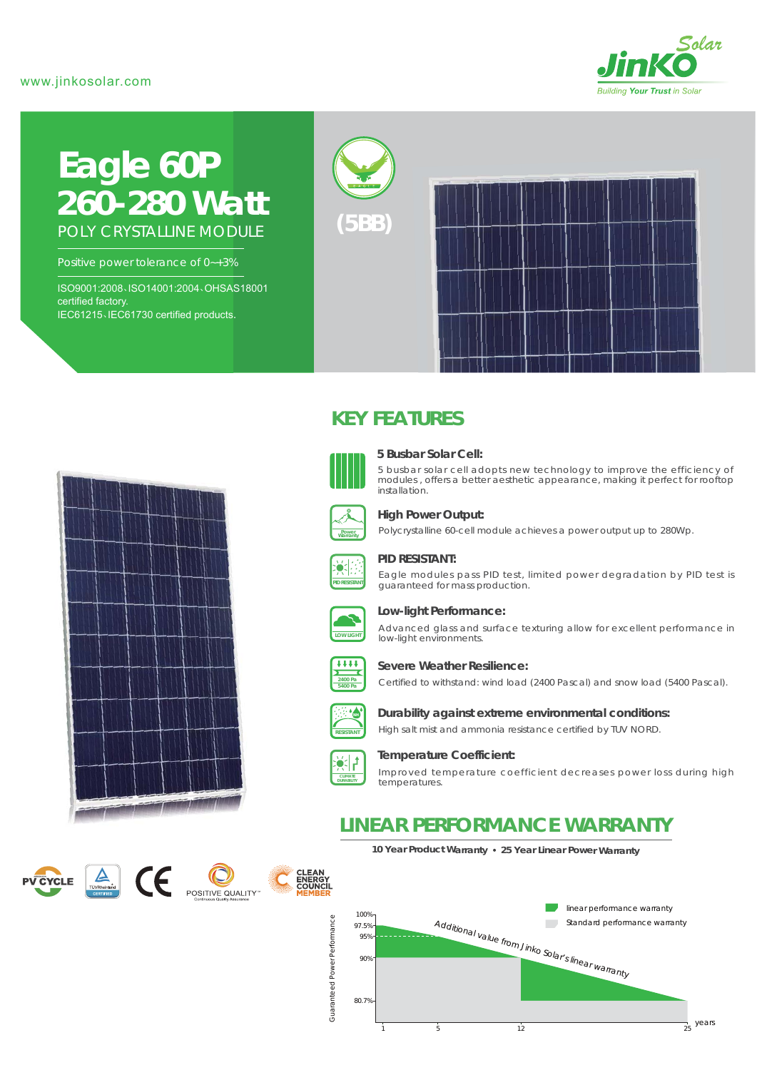# www.jinkosolar.com



# **Eagle 60P** *260-280 Watt* POLY CRYSTALLINE MODULE

Positive power tolerance of 0~+3%

ISO9001:2008、ISO14001:2004、OHSAS18001 certified factory. IEC61215、IEC61730 certified products.





# **KEY FEATURES**



### **5 Busbar Solar Cell:**

5 busbar solar cell adopts new technology to improve the efficiency of modules , offers a better aesthetic appearance, making it perfect for rooftop installation.



#### **High Power Output:**

Polycrystalline 60-cell module achieves a power output up to 280Wp.



#### **PID RESISTANT:**

Eagle modules pass PID test, limited power degradation by PID test is guaranteed for mass production.



## **Low-light Performance:**

Advanced glass and surface texturing allow for excellent performance in low-light environments.



#### **Severe Weather Resilience:**

Certified to withstand: wind load (2400 Pascal) and snow load (5400 Pascal).



# **Durability against extreme environmental conditions:**

High salt mist and ammonia resistance certified by TUV NORD.



#### **Temperature Coefficient:**

Improved temperature coefficient decreases power loss during high temperatures.

# **LINEAR PERFORMANCE WARRANTY**

**10 Year Product Warranty 25 Year Linear Power Warranty**









**PID RESISTANT**